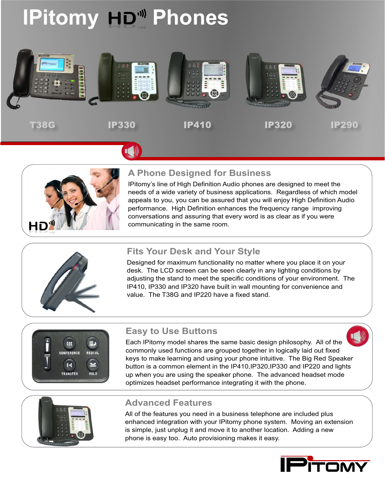## **IPitomy HD<sup>III</sup> Phones**





#### **A Phone Designed for Business**

IPitomy's line of High Definition Audio phones are designed to meet the needs of a wide variety of business applications. Regardless of which model appeals to you, you can be assured that you will enjoy High Definition Audio performance. High Definition enhances the frequency range improving conversations and assuring that every word is as clear as if you were communicating in the same room.



#### **Fits Your Desk and Your Style**

Designed for maximum functionality no matter where you place it on your desk. The LCD screen can be seen clearly in any lighting conditions by adjusting the stand to meet the specific conditions of your environment. The IP410, IP330 and IP320 have built in wall mounting for convenience and value. The T38G and IP220 have a fixed stand.



#### **Easy to Use Buttons**

Each IPitomy model shares the same basic design philosophy. All of the commonly used functions are grouped together in logically laid out fixed keys to make learning and using your phone intuitive. The Big Red Speaker button is a common element in the IP410,IP320,IP330 and IP220 and lights up when you are using the speaker phone. The advanced headset mode optimizes headset performance integrating it with the phone.



#### **Advanced Features**

All of the features you need in a business telephone are included plus enhanced integration with your IPitomy phone system. Moving an extension is simple, just unplug it and move it to another location. Adding a new phone is easy too. Auto provisioning makes it easy.

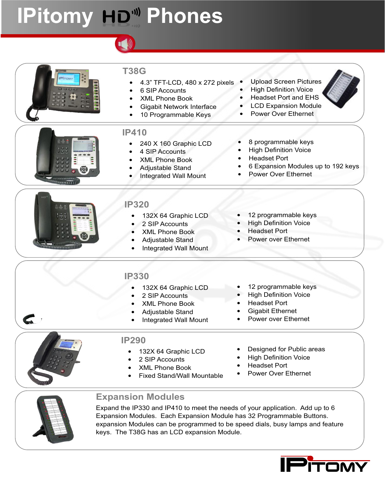# **IPitomy HD<sup>III</sup> Phones**



Expand the IP330 and IP410 to meet the needs of your application. Add up to 6 Expansion Modules. Each Expansion Module has 32 Programmable Buttons. expansion Modules can be programmed to be speed dials, busy lamps and feature keys. The T38G has an LCD expansion Module.